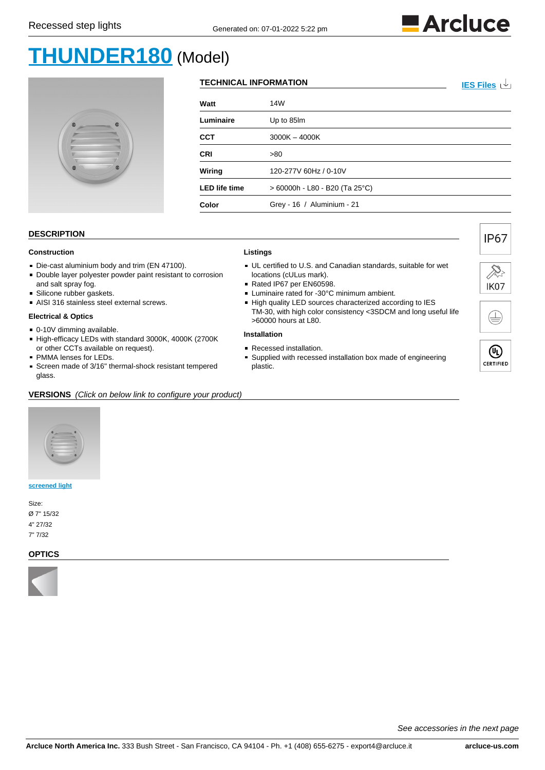

# **[THUNDER180](https://www.arcluce-us.com/model/THUNDER180/36/1018)** (Model)



### **TECHNICAL INFORMATION [IES Files](https://www.arcluce-us.com/download/THUNDER180/IESfiles/36/1018)**  $\sqrt{ }$

| Watt                 | 14W                            |
|----------------------|--------------------------------|
| Luminaire            | Up to 85Im                     |
| CCT                  | $3000K - 4000K$                |
| CRI                  | >80                            |
| Wiring               | 120-277V 60Hz / 0-10V          |
| <b>LED life time</b> | > 60000h - L80 - B20 (Ta 25°C) |
| Color                | Grey - 16 / Aluminium - 21     |
|                      |                                |

#### **DESCRIPTION**

# **Construction**

- Die-cast aluminium body and trim (EN 47100).
- Double layer polyester powder paint resistant to corrosion and salt spray fog.
- Silicone rubber gaskets.
- AISI 316 stainless steel external screws.

#### **Electrical & Optics**

- 0-10V dimming available.
- High-efficacy LEDs with standard 3000K, 4000K (2700K or other CCTs available on request).
- **PMMA lenses for LEDs.**
- Screen made of 3/16" thermal-shock resistant tempered glass.

## **Listings**

- UL certified to U.S. and Canadian standards, suitable for wet locations (cULus mark).
- Rated IP67 per EN60598.
- **Luminaire rated for -30°C minimum ambient.**
- High quality LED sources characterized according to IES TM-30, with high color consistency <3SDCM and long useful life >60000 hours at L80.

#### **Installation**

- Recessed installation.
- Supplied with recessed installation box made of engineering plastic.



**IP67** 

| Ш         |
|-----------|
| CERTIFIED |

#### **VERSIONS** (Click on below link to configure your product)



#### **[screened light](https://www.arcluce-us.com/group/screenedlight/36/1018/3719#products)**

Size: Ø 7" 15/32 4" 27/32 7" 7/32

#### **OPTICS**



See accessories in the next page